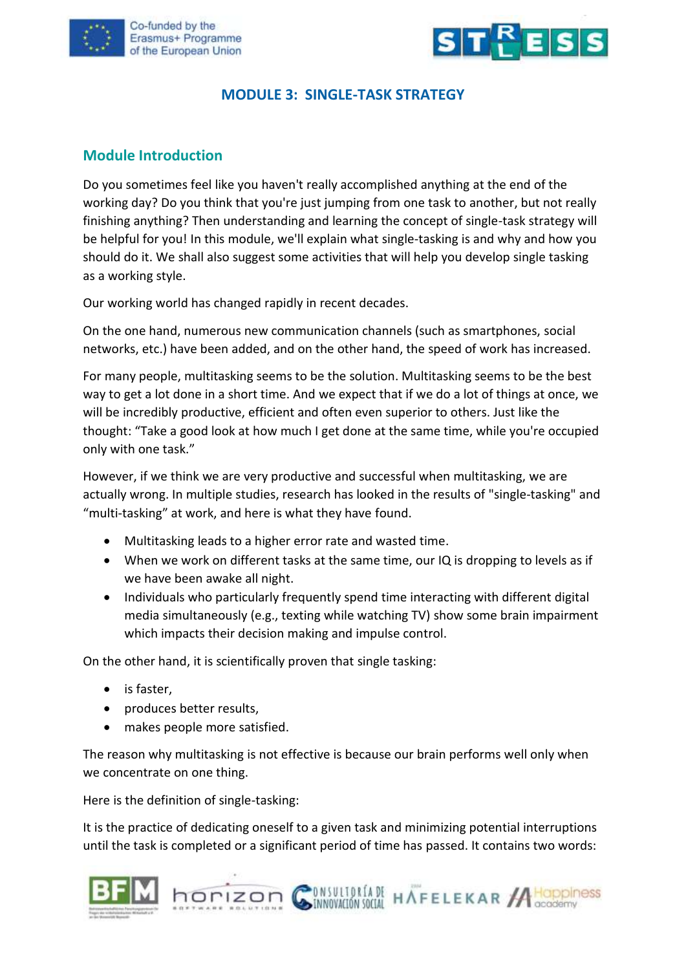



### **MODULE 3: SINGLE-TASK STRATEGY**

#### **Module Introduction**

Do you sometimes feel like you haven't really accomplished anything at the end of the working day? Do you think that you're just jumping from one task to another, but not really finishing anything? Then understanding and learning the concept of single-task strategy will be helpful for you! In this module, we'll explain what single-tasking is and why and how you should do it. We shall also suggest some activities that will help you develop single tasking as a working style.

Our working world has changed rapidly in recent decades.

On the one hand, numerous new communication channels (such as smartphones, social networks, etc.) have been added, and on the other hand, the speed of work has increased.

For many people, multitasking seems to be the solution. Multitasking seems to be the best way to get a lot done in a short time. And we expect that if we do a lot of things at once, we will be incredibly productive, efficient and often even superior to others. Just like the thought: "Take a good look at how much I get done at the same time, while you're occupied only with one task."

However, if we think we are very productive and successful when multitasking, we are actually wrong. In multiple studies, research has looked in the results of "single-tasking" and "multi-tasking" at work, and here is what they have found.

- Multitasking leads to a higher error rate and wasted time.
- When we work on different tasks at the same time, our IQ is dropping to levels as if we have been awake all night.
- Individuals who particularly frequently spend time interacting with different digital media simultaneously (e.g., texting while watching TV) show some brain impairment which impacts their decision making and impulse control.

On the other hand, it is scientifically proven that single tasking:

- is faster,
- produces better results,
- makes people more satisfied.

The reason why multitasking is not effective is because our brain performs well only when we concentrate on one thing.

Here is the definition of single-tasking:

It is the practice of dedicating oneself to a given task and minimizing potential interruptions until the task is completed or a significant period of time has passed. It contains two words:



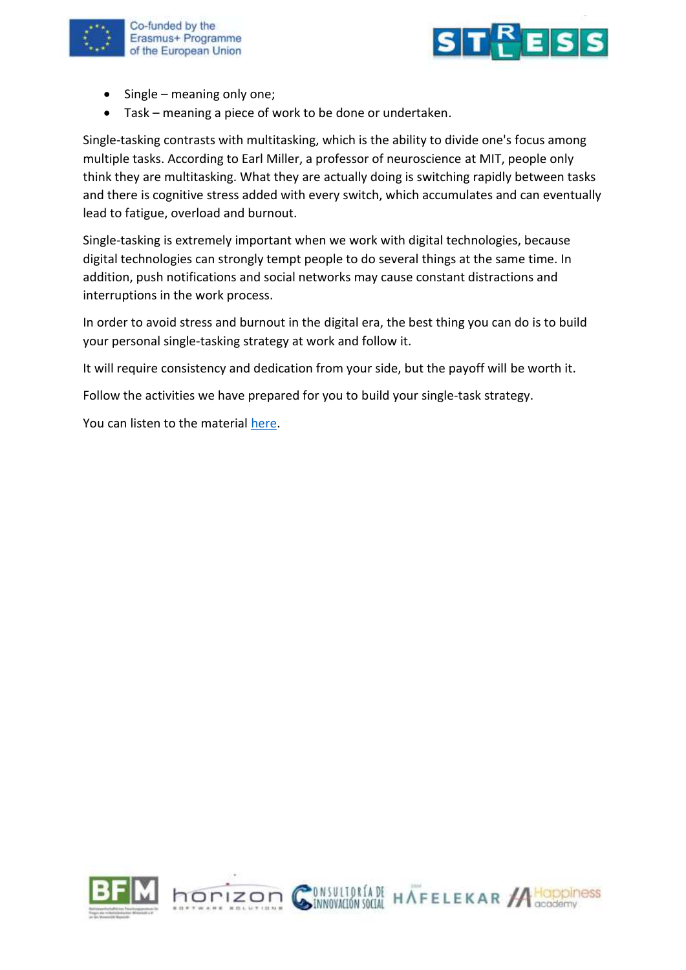



- Single meaning only one;
- Task meaning a piece of work to be done or undertaken.

Single-tasking contrasts with multitasking, which is the ability to divide one's focus among multiple tasks. According to Earl Miller, a professor of neuroscience at MIT, people only think they are multitasking. What they are actually doing is switching rapidly between tasks and there is cognitive stress added with every switch, which accumulates and can eventually lead to fatigue, overload and burnout.

Single-tasking is extremely important when we work with digital technologies, because digital technologies can strongly tempt people to do several things at the same time. In addition, push notifications and social networks may cause constant distractions and interruptions in the work process.

In order to avoid stress and burnout in the digital era, the best thing you can do is to build your personal single-tasking strategy at work and follow it.

It will require consistency and dedication from your side, but the payoff will be worth it.

Follow the activities we have prepared for you to build your single-task strategy.

You can listen to the material [here.](https://youtu.be/Z07Aig6hz40)

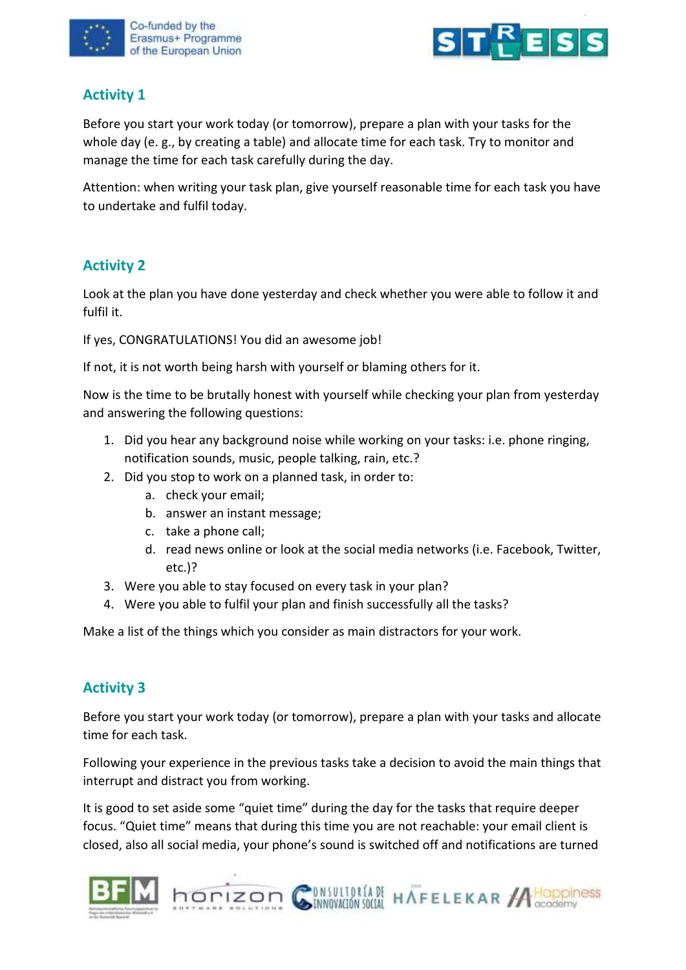



# **Activity 1**

Before you start your work today (or tomorrow), prepare a plan with your tasks for the whole day (e. g., by creating a table) and allocate time for each task. Try to monitor and manage the time for each task carefully during the day.

Attention: when writing your task plan, give yourself reasonable time for each task you have to undertake and fulfil today.

# **Activity 2**

Look at the plan you have done yesterday and check whether you were able to follow it and fulfil it.

If yes, CONGRATULATIONS! You did an awesome job!

If not, it is not worth being harsh with yourself or blaming others for it.

Now is the time to be brutally honest with yourself while checking your plan from yesterday and answering the following questions:

- 1. Did you hear any background noise while working on your tasks: i.e. phone ringing, notification sounds, music, people talking, rain, etc.?
- 2. Did you stop to work on a planned task, in order to:
	- a. check your email;
	- b. answer an instant message;
	- c. take a phone call;
	- d. read news online or look at the social media networks (i.e. Facebook, Twitter, etc.)?
- 3. Were you able to stay focused on every task in your plan?
- 4. Were you able to fulfil your plan and finish successfully all the tasks?

Make a list of the things which you consider as main distractors for your work.

### **Activity 3**

Before you start your work today (or tomorrow), prepare a plan with your tasks and allocate time for each task.

Following your experience in the previous tasks take a decision to avoid the main things that interrupt and distract you from working.

It is good to set aside some "quiet time" during the day for the tasks that require deeper focus. "Quiet time" means that during this time you are not reachable: your email client is closed, also all social media, your phone's sound is switched off and notifications are turned



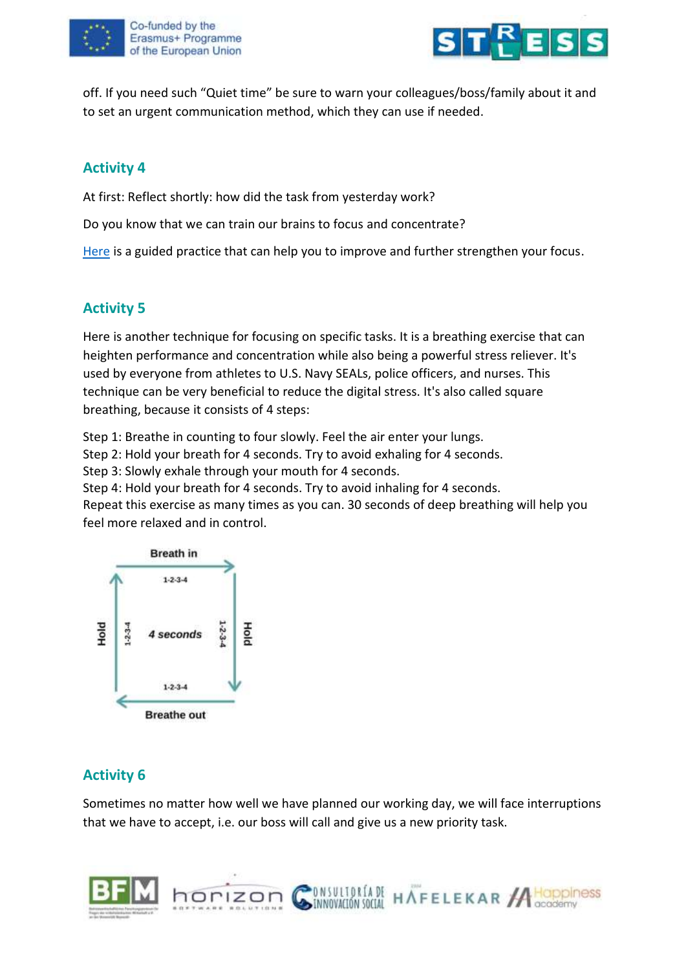



off. If you need such "Quiet time" be sure to warn your colleagues/boss/family about it and to set an urgent communication method, which they can use if needed.

## **Activity 4**

At first: Reflect shortly: how did the task from yesterday work?

Do you know that we can train our brains to focus and concentrate?

[Here](https://youtu.be/f3COjvPikYg) is a guided practice that can help you to improve and further strengthen your focus.

### **Activity 5**

Here is another technique for focusing on specific tasks. It is a breathing exercise that can heighten performance and concentration while also being a powerful stress reliever. It's used by everyone from athletes to U.S. Navy SEALs, police officers, and nurses. This technique can be very beneficial to reduce the digital stress. It's also called square breathing, because it consists of 4 steps:

Step 1: Breathe in counting to four slowly. Feel the air enter your lungs.

Step 2: Hold your breath for 4 seconds. Try to avoid exhaling for 4 seconds.

Step 3: Slowly exhale through your mouth for 4 seconds.

Step 4: Hold your breath for 4 seconds. Try to avoid inhaling for 4 seconds.

Repeat this exercise as many times as you can. 30 seconds of deep breathing will help you feel more relaxed and in control.



### **Activity 6**

Sometimes no matter how well we have planned our working day, we will face interruptions that we have to accept, i.e. our boss will call and give us a new priority task.

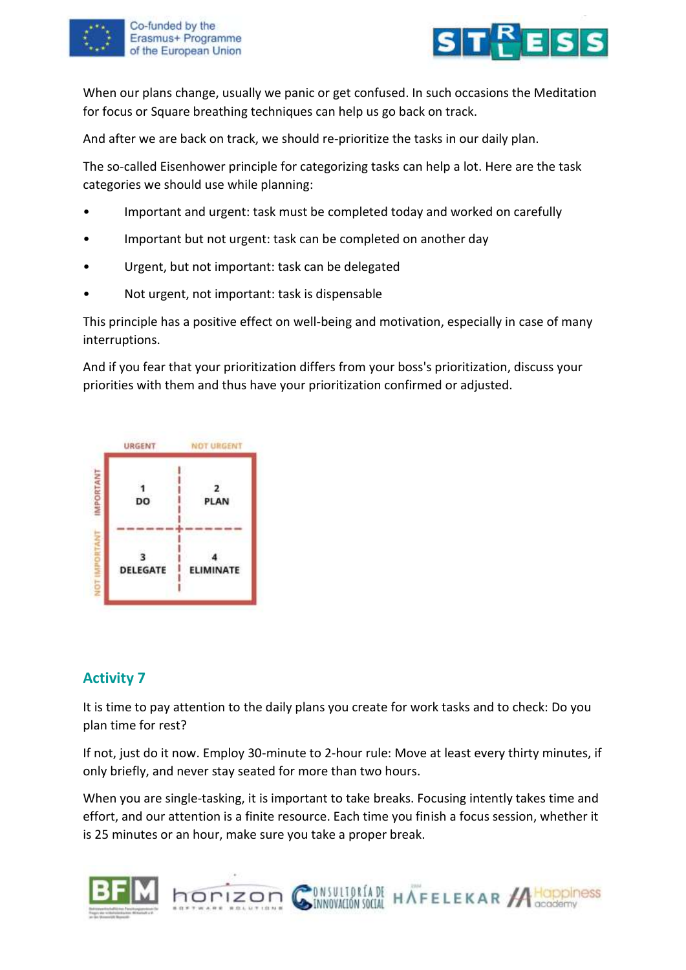



When our plans change, usually we panic or get confused. In such occasions the Meditation for focus or Square breathing techniques can help us go back on track.

And after we are back on track, we should re-prioritize the tasks in our daily plan.

The so-called Eisenhower principle for categorizing tasks can help a lot. Here are the task categories we should use while planning:

- Important and urgent: task must be completed today and worked on carefully
- Important but not urgent: task can be completed on another day
- Urgent, but not important: task can be delegated
- Not urgent, not important: task is dispensable

This principle has a positive effect on well-being and motivation, especially in case of many interruptions.

And if you fear that your prioritization differs from your boss's prioritization, discuss your priorities with them and thus have your prioritization confirmed or adjusted.



#### **Activity 7**

It is time to pay attention to the daily plans you create for work tasks and to check: Do you plan time for rest?

If not, just do it now. Employ 30-minute to 2-hour rule: Move at least every thirty minutes, if only briefly, and never stay seated for more than two hours.

When you are single-tasking, it is important to take breaks. Focusing intently takes time and effort, and our attention is a finite resource. Each time you finish a focus session, whether it is 25 minutes or an hour, make sure you take a proper break.